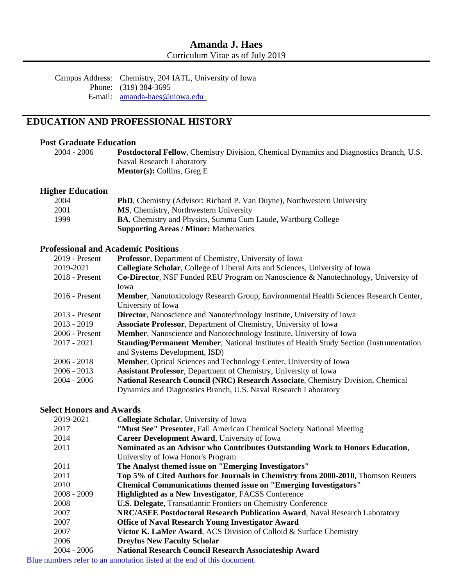Campus Address: Chemistry, 204 IATL, University of Iowa Phone: (319) 384-3695 E-mail: <u>amanda-haes@uiowa.edu</u>

## **EDUCATION AND PROFESSIONAL HISTORY**

#### **Post Graduate Education**

2004 - 2006 **Postdoctoral Fellow**, Chemistry Division, Chemical Dynamics and Diagnostics Branch, U.S. Naval Research Laboratory **Mentor(s):** Collins, Greg E

#### **Higher Education**

| 2004 | <b>PhD</b> , Chemistry (Advisor: Richard P. Van Duyne), Northwestern University |
|------|---------------------------------------------------------------------------------|
| 2001 | <b>MS</b> , Chemistry, Northwestern University                                  |
| 1999 | <b>BA, Chemistry and Physics, Summa Cum Laude, Wartburg College</b>             |
|      | <b>Supporting Areas / Minor: Mathematics</b>                                    |

#### **Professional and Academic Positions**

| $2019$ - Present | <b>Professor</b> , Department of Chemistry, University of Iowa                                  |
|------------------|-------------------------------------------------------------------------------------------------|
| 2019-2021        | Collegiate Scholar, College of Liberal Arts and Sciences, University of Iowa                    |
| 2018 - Present   | <b>Co-Director, NSF Funded REU Program on Nanoscience &amp; Nanotechnology, University of</b>   |
|                  | Iowa                                                                                            |
| $2016$ - Present | <b>Member, Nanotoxicology Research Group, Environmental Health Sciences Research Center,</b>    |
|                  | University of Iowa                                                                              |
| $2013$ - Present | <b>Director</b> , Nanoscience and Nanotechnology Institute, University of Iowa                  |
| $2013 - 2019$    | <b>Associate Professor, Department of Chemistry, University of Iowa</b>                         |
| 2006 - Present   | Member, Nanoscience and Nanotechnology Institute, University of Iowa                            |
| $2017 - 2021$    | <b>Standing/Permanent Member, National Institutes of Health Study Section (Instrumentation)</b> |
|                  | and Systems Development, ISD)                                                                   |
| $2006 - 2018$    | <b>Member, Optical Sciences and Technology Center, University of Iowa</b>                       |
| $2006 - 2013$    | <b>Assistant Professor, Department of Chemistry, University of Iowa</b>                         |
| $2004 - 2006$    | National Research Council (NRC) Research Associate, Chemistry Division, Chemical                |
|                  | Dynamics and Diagnostics Branch, U.S. Naval Research Laboratory                                 |

### **Select Honors and Awards**

| 2019-2021     | <b>Collegiate Scholar, University of Iowa</b>                                     |
|---------------|-----------------------------------------------------------------------------------|
| 2017          | "Must See" Presenter, Fall American Chemical Society National Meeting             |
| 2014          | Career Development Award, University of Iowa                                      |
| 2011          | Nominated as an Advisor who Contributes Outstanding Work to Honors Education,     |
|               | University of Iowa Honor's Program                                                |
| 2011          | The Analyst themed issue on "Emerging Investigators"                              |
| 2011          | Top 5% of Cited Authors for Journals in Chemistry from 2000-2010, Thomson Reuters |
| 2010          | <b>Chemical Communications themed issue on "Emerging Investigators"</b>           |
| $2008 - 2009$ | <b>Highlighted as a New Investigator, FACSS Conference</b>                        |
| 2008          | <b>U.S. Delegate, Transatlantic Frontiers on Chemistry Conference</b>             |
| 2007          | NRC/ASEE Postdoctoral Research Publication Award, Naval Research Laboratory       |
| 2007          | <b>Office of Naval Research Young Investigator Award</b>                          |
| 2007          | Victor K. LaMer Award, ACS Division of Colloid & Surface Chemistry                |
| 2006          | <b>Dreyfus New Faculty Scholar</b>                                                |
| $2004 - 2006$ | <b>National Research Council Research Associateship Award</b>                     |

Blue numbers refer to an annotation listed at the end of this document.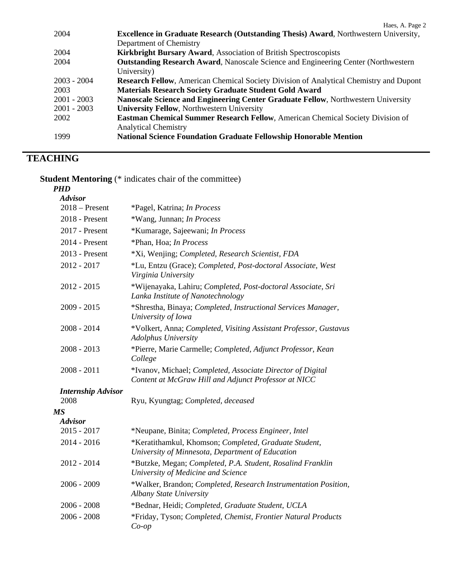| 2004          | <b>Excellence in Graduate Research (Outstanding Thesis) Award, Northwestern University,</b>   |
|---------------|-----------------------------------------------------------------------------------------------|
|               | Department of Chemistry                                                                       |
| 2004          | <b>Kirkbright Bursary Award, Association of British Spectroscopists</b>                       |
| 2004          | <b>Outstanding Research Award, Nanoscale Science and Engineering Center (Northwestern</b> )   |
|               | University)                                                                                   |
| $2003 - 2004$ | <b>Research Fellow, American Chemical Society Division of Analytical Chemistry and Dupont</b> |
| 2003          | <b>Materials Research Society Graduate Student Gold Award</b>                                 |
| $2001 - 2003$ | Nanoscale Science and Engineering Center Graduate Fellow, Northwestern University             |
| $2001 - 2003$ | <b>University Fellow, Northwestern University</b>                                             |
| 2002          | <b>Eastman Chemical Summer Research Fellow, American Chemical Society Division of</b>         |
|               | <b>Analytical Chemistry</b>                                                                   |
| 1999          | <b>National Science Foundation Graduate Fellowship Honorable Mention</b>                      |

Haes, A. Page 2

# **TEACHING**

**Student Mentoring** (\* indicates chair of the committee)

*PHD* 

| <b>Advisor</b>            |                                                                                                                    |
|---------------------------|--------------------------------------------------------------------------------------------------------------------|
| $2018 -$ Present          | *Pagel, Katrina; In Process                                                                                        |
| 2018 - Present            | *Wang, Junnan; In Process                                                                                          |
| 2017 - Present            | *Kumarage, Sajeewani; In Process                                                                                   |
| $2014$ - Present          | *Phan, Hoa; In Process                                                                                             |
| $2013$ - Present          | *Xi, Wenjing; Completed, Research Scientist, FDA                                                                   |
| $2012 - 2017$             | *Lu, Entzu (Grace); Completed, Post-doctoral Associate, West<br>Virginia University                                |
| $2012 - 2015$             | *Wijenayaka, Lahiru; Completed, Post-doctoral Associate, Sri<br>Lanka Institute of Nanotechnology                  |
| $2009 - 2015$             | *Shrestha, Binaya; Completed, Instructional Services Manager,<br>University of Iowa                                |
| $2008 - 2014$             | *Volkert, Anna; Completed, Visiting Assistant Professor, Gustavus<br><b>Adolphus University</b>                    |
| $2008 - 2013$             | *Pierre, Marie Carmelle; Completed, Adjunct Professor, Kean<br>College                                             |
| $2008 - 2011$             | *Ivanov, Michael; Completed, Associate Director of Digital<br>Content at McGraw Hill and Adjunct Professor at NICC |
| <b>Internship Advisor</b> |                                                                                                                    |
| 2008                      | Ryu, Kyungtag; Completed, deceased                                                                                 |
| <b>MS</b>                 |                                                                                                                    |
| <b>Advisor</b>            |                                                                                                                    |
| $2015 - 2017$             | *Neupane, Binita; Completed, Process Engineer, Intel                                                               |
| $2014 - 2016$             | *Keratithamkul, Khomson; Completed, Graduate Student,<br>University of Minnesota, Department of Education          |
| $2012 - 2014$             | *Butzke, Megan; Completed, P.A. Student, Rosalind Franklin<br>University of Medicine and Science                   |
| $2006 - 2009$             | *Walker, Brandon; Completed, Research Instrumentation Position,<br><b>Albany State University</b>                  |
| $2006 - 2008$             | *Bednar, Heidi; Completed, Graduate Student, UCLA                                                                  |
| $2006 - 2008$             | *Friday, Tyson; Completed, Chemist, Frontier Natural Products<br>$Co$ -op                                          |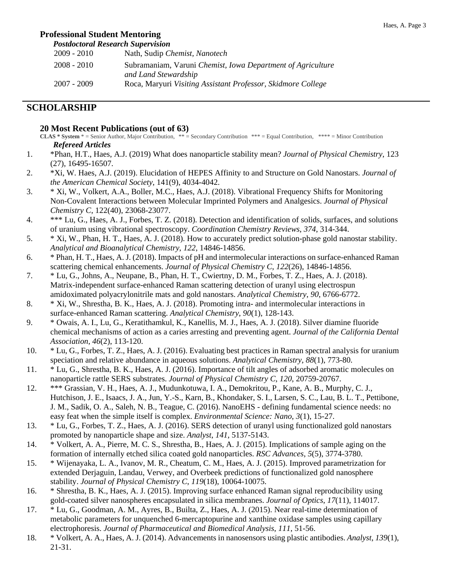#### Haes, A. Page 3

#### **Professional Student Mentoring**

 *Postdoctoral Research Supervision* 

| $2009 - 2010$ | Nath, Sudip Chemist, Nanotech                                |
|---------------|--------------------------------------------------------------|
| $2008 - 2010$ | Subramaniam, Varuni Chemist, Iowa Department of Agriculture  |
|               | and Land Stewardship                                         |
| 2007 - 2009   | Roca, Maryuri Visiting Assistant Professor, Skidmore College |

## **SCHOLARSHIP**

#### **20 Most Recent Publications (out of 63)**

- **CLAS \* System** \* = Senior Author, Major Contribution, \*\* = Secondary Contribution \*\*\* = Equal Contribution, \*\*\*\* = Minor Contribution *Refereed Articles*
- 1. \*Phan, H.T., Haes, A.J. (2019) What does nanoparticle stability mean? *Journal of Physical Chemistry*, 123 (27), 16495-16507.
- 2. \*Xi, W. Haes, A.J. (2019). Elucidation of HEPES Affinity to and Structure on Gold Nanostars. *Journal of the American Chemical Society*, 141(9), 4034-4042.
- 3. \* Xi, W., Volkert, A.A., Boller, M.C., Haes, A.J. (2018). Vibrational Frequency Shifts for Monitoring Non-Covalent Interactions between Molecular Imprinted Polymers and Analgesics. *Journal of Physical Chemistry C*, 122(40), 23068-23077.
- 4. \*\*\* Lu, G., Haes, A. J., Forbes, T. Z. (2018). Detection and identification of solids, surfaces, and solutions of uranium using vibrational spectroscopy. *Coordination Chemistry Reviews*, *374*, 314-344.
- 5. \* Xi, W., Phan, H. T., Haes, A. J. (2018). How to accurately predict solution-phase gold nanostar stability. *Analytical and Bioanalytical Chemistry*, *122*, 14846-14856.
- 6. \* Phan, H. T., Haes, A. J. (2018). Impacts of pH and intermolecular interactions on surface-enhanced Raman scattering chemical enhancements. *Journal of Physical Chemistry C*, *122*(26), 14846-14856.
- 7. \* Lu, G., Johns, A., Neupane, B., Phan, H. T., Cwiertny, D. M., Forbes, T. Z., Haes, A. J. (2018). Matrix-independent surface-enhanced Raman scattering detection of uranyl using electrospun amidoximated polyacrylonitrile mats and gold nanostars. *Analytical Chemistry*, *90*, 6766-6772.
- 8. \* Xi, W., Shrestha, B. K., Haes, A. J. (2018). Promoting intra- and intermolecular interactions in surface-enhanced Raman scattering. *Analytical Chemistry*, *90*(1), 128-143.
- 9. \* Owais, A. I., Lu, G., Keratithamkul, K., Kanellis, M. J., Haes, A. J. (2018). Silver diamine fluoride chemical mechanisms of action as a caries arresting and preventing agent. *Journal of the California Dental Association*, *46*(2), 113-120.
- 10. \* Lu, G., Forbes, T. Z., Haes, A. J. (2016). Evaluating best practices in Raman spectral analysis for uranium speciation and relative abundance in aqueous solutions. *Analytical Chemistry*, *88*(1), 773-80.
- 11. \* Lu, G., Shrestha, B. K., Haes, A. J. (2016). Importance of tilt angles of adsorbed aromatic molecules on nanoparticle rattle SERS substrates. *Journal of Physical Chemistry C*, *120*, 20759-20767.
- 12. \*\*\* Grassian, V. H., Haes, A. J., Mudunkotuwa, I. A., Demokritou, P., Kane, A. B., Murphy, C. J., Hutchison, J. E., Isaacs, J. A., Jun, Y.-S., Karn, B., Khondaker, S. I., Larsen, S. C., Lau, B. L. T., Pettibone, J. M., Sadik, O. A., Saleh, N. B., Teague, C. (2016). NanoEHS - defining fundamental science needs: no easy feat when the simple itself is complex. *Environmental Science: Nano*, *3*(1), 15-27.
- 13. \* Lu, G., Forbes, T. Z., Haes, A. J. (2016). SERS detection of uranyl using functionalized gold nanostars promoted by nanoparticle shape and size. *Analyst*, *141*, 5137-5143.
- 14. \* Volkert, A. A., Pierre, M. C. S., Shrestha, B., Haes, A. J. (2015). Implications of sample aging on the formation of internally etched silica coated gold nanoparticles. *RSC Advances*, *5*(5), 3774-3780.
- 15. \* Wijenayaka, L. A., Ivanov, M. R., Cheatum, C. M., Haes, A. J. (2015). Improved parametrization for extended Derjaguin, Landau, Verwey, and Overbeek predictions of functionalized gold nanosphere stability. *Journal of Physical Chemistry C*, *119*(18), 10064-10075.
- 16. \* Shrestha, B. K., Haes, A. J. (2015). Improving surface enhanced Raman signal reproducibility using gold-coated silver nanospheres encapsulated in silica membranes. *Journal of Optics*, *17*(11), 114017.
- 17. \* Lu, G., Goodman, A. M., Ayres, B., Builta, Z., Haes, A. J. (2015). Near real-time determination of metabolic parameters for unquenched 6-mercaptopurine and xanthine oxidase samples using capillary electrophoresis. *Journal of Pharmaceutical and Biomedical Analysis*, *111*, 51-56.
- 18. \* Volkert, A. A., Haes, A. J. (2014). Advancements in nanosensors using plastic antibodies. *Analyst*, *139*(1), 21-31.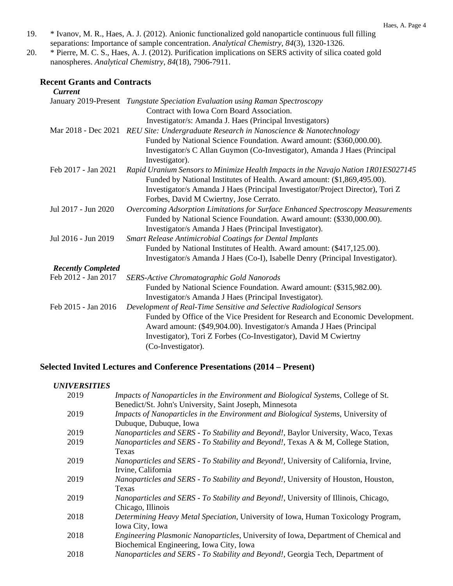- 19. \* Ivanov, M. R., Haes, A. J. (2012). Anionic functionalized gold nanoparticle continuous full filling separations: Importance of sample concentration. *Analytical Chemistry*, *84*(3), 1320-1326.
- 20. \* Pierre, M. C. S., Haes, A. J. (2012). Purification implications on SERS activity of silica coated gold nanospheres. *Analytical Chemistry*, *84*(18), 7906-7911.

### **Recent Grants and Contracts**

| <b>Current</b>            |                                                                                      |
|---------------------------|--------------------------------------------------------------------------------------|
|                           | January 2019-Present Tungstate Speciation Evaluation using Raman Spectroscopy        |
|                           | Contract with Iowa Corn Board Association.                                           |
|                           | Investigator/s: Amanda J. Haes (Principal Investigators)                             |
|                           | Mar 2018 - Dec 2021 REU Site: Undergraduate Research in Nanoscience & Nanotechnology |
|                           | Funded by National Science Foundation. Award amount: (\$360,000.00).                 |
|                           | Investigator/s C Allan Guymon (Co-Investigator), Amanda J Haes (Principal            |
|                           | Investigator).                                                                       |
| Feb 2017 - Jan 2021       | Rapid Uranium Sensors to Minimize Health Impacts in the Navajo Nation 1R01ES027145   |
|                           | Funded by National Institutes of Health. Award amount: (\$1,869,495.00).             |
|                           | Investigator/s Amanda J Haes (Principal Investigator/Project Director), Tori Z       |
|                           | Forbes, David M Cwiertny, Jose Cerrato.                                              |
| Jul 2017 - Jun 2020       | Overcoming Adsorption Limitations for Surface Enhanced Spectroscopy Measurements     |
|                           | Funded by National Science Foundation. Award amount: (\$330,000.00).                 |
|                           | Investigator/s Amanda J Haes (Principal Investigator).                               |
| Jul 2016 - Jun 2019       | Smart Release Antimicrobial Coatings for Dental Implants                             |
|                           | Funded by National Institutes of Health. Award amount: (\$417,125.00).               |
|                           | Investigator/s Amanda J Haes (Co-I), Isabelle Denry (Principal Investigator).        |
| <b>Recently Completed</b> |                                                                                      |
| Feb 2012 - Jan 2017       | <b>SERS-Active Chromatographic Gold Nanorods</b>                                     |
|                           | Funded by National Science Foundation. Award amount: (\$315,982.00).                 |
|                           | Investigator/s Amanda J Haes (Principal Investigator).                               |
| Feb 2015 - Jan 2016       | Development of Real-Time Sensitive and Selective Radiological Sensors                |
|                           | Funded by Office of the Vice President for Research and Economic Development.        |
|                           | Award amount: (\$49,904.00). Investigator/s Amanda J Haes (Principal                 |
|                           | Investigator), Tori Z Forbes (Co-Investigator), David M Cwiertny                     |
|                           | (Co-Investigator).                                                                   |

## **Selected Invited Lectures and Conference Presentations (2014 – Present)**

#### *UNIVERSITIES*

| 2019 | Impacts of Nanoparticles in the Environment and Biological Systems, College of St.   |
|------|--------------------------------------------------------------------------------------|
|      | Benedict/St. John's University, Saint Joseph, Minnesota                              |
| 2019 | Impacts of Nanoparticles in the Environment and Biological Systems, University of    |
|      | Dubuque, Dubuque, Iowa                                                               |
| 2019 | Nanoparticles and SERS - To Stability and Beyond!, Baylor University, Waco, Texas    |
| 2019 | Nanoparticles and SERS - To Stability and Beyond!, Texas A & M, College Station,     |
|      | Texas                                                                                |
| 2019 | Nanoparticles and SERS - To Stability and Beyond!, University of California, Irvine, |
|      | Irvine, California                                                                   |
| 2019 | Nanoparticles and SERS - To Stability and Beyond!, University of Houston, Houston,   |
|      | Texas                                                                                |
| 2019 | Nanoparticles and SERS - To Stability and Beyond!, University of Illinois, Chicago,  |
|      | Chicago, Illinois                                                                    |
| 2018 | Determining Heavy Metal Speciation, University of Iowa, Human Toxicology Program,    |
|      | Iowa City, Iowa                                                                      |
| 2018 | Engineering Plasmonic Nanoparticles, University of Iowa, Department of Chemical and  |
|      | Biochemical Engineering, Iowa City, Iowa                                             |
| 2018 | Nanoparticles and SERS - To Stability and Beyond!, Georgia Tech, Department of       |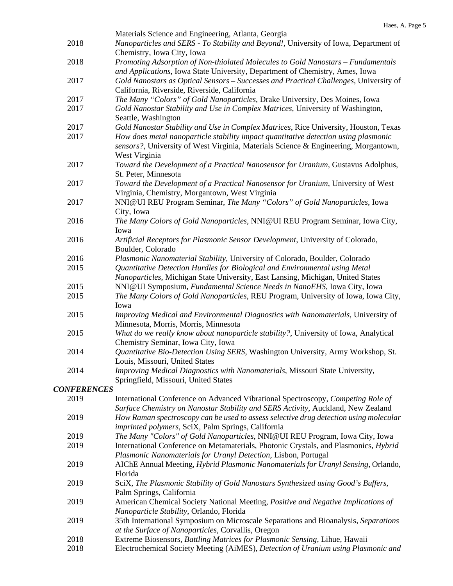|                    | 11aCo, 71.                                                                                                                                                                 |
|--------------------|----------------------------------------------------------------------------------------------------------------------------------------------------------------------------|
| 2018               | Materials Science and Engineering, Atlanta, Georgia<br>Nanoparticles and SERS - To Stability and Beyond!, University of Iowa, Department of<br>Chemistry, Iowa City, Iowa  |
| 2018               | Promoting Adsorption of Non-thiolated Molecules to Gold Nanostars - Fundamentals                                                                                           |
|                    | and Applications, Iowa State University, Department of Chemistry, Ames, Iowa                                                                                               |
| 2017               | Gold Nanostars as Optical Sensors - Successes and Practical Challenges, University of<br>California, Riverside, Riverside, California                                      |
| 2017               | The Many "Colors" of Gold Nanoparticles, Drake University, Des Moines, Iowa                                                                                                |
| 2017               | Gold Nanostar Stability and Use in Complex Matrices, University of Washington,<br>Seattle, Washington                                                                      |
|                    |                                                                                                                                                                            |
| 2017               | Gold Nanostar Stability and Use in Complex Matrices, Rice University, Houston, Texas                                                                                       |
| 2017               | How does metal nanoparticle stability impact quantitative detection using plasmonic<br>sensors?, University of West Virginia, Materials Science & Engineering, Morgantown, |
|                    | West Virginia                                                                                                                                                              |
| 2017               | Toward the Development of a Practical Nanosensor for Uranium, Gustavus Adolphus,<br>St. Peter, Minnesota                                                                   |
| 2017               | Toward the Development of a Practical Nanosensor for Uranium, University of West<br>Virginia, Chemistry, Morgantown, West Virginia                                         |
| 2017               | NNI@UI REU Program Seminar, The Many "Colors" of Gold Nanoparticles, Iowa<br>City, Iowa                                                                                    |
| 2016               | The Many Colors of Gold Nanoparticles, NNI@UI REU Program Seminar, Iowa City,                                                                                              |
|                    | Iowa                                                                                                                                                                       |
| 2016               | Artificial Receptors for Plasmonic Sensor Development, University of Colorado,<br>Boulder, Colorado                                                                        |
| 2016               | Plasmonic Nanomaterial Stability, University of Colorado, Boulder, Colorado                                                                                                |
| 2015               | Quantitative Detection Hurdles for Biological and Environmental using Metal<br>Nanoparticles, Michigan State University, East Lansing, Michigan, United States             |
| 2015               | NNI@UI Symposium, Fundamental Science Needs in NanoEHS, Iowa City, Iowa                                                                                                    |
| 2015               | The Many Colors of Gold Nanoparticles, REU Program, University of Iowa, Iowa City,<br>Iowa                                                                                 |
|                    |                                                                                                                                                                            |
| 2015               | Improving Medical and Environmental Diagnostics with Nanomaterials, University of<br>Minnesota, Morris, Morris, Minnesota                                                  |
| 2015               | What do we really know about nanoparticle stability?, University of Iowa, Analytical<br>Chemistry Seminar, Iowa City, Iowa                                                 |
| 2014               | Quantitative Bio-Detection Using SERS, Washington University, Army Workshop, St.<br>Louis, Missouri, United States                                                         |
| 2014               | Improving Medical Diagnostics with Nanomaterials, Missouri State University,<br>Springfield, Missouri, United States                                                       |
| <b>CONFERENCES</b> |                                                                                                                                                                            |
|                    |                                                                                                                                                                            |
| 2019               | International Conference on Advanced Vibrational Spectroscopy, Competing Role of                                                                                           |
|                    | Surface Chemistry on Nanostar Stability and SERS Activity, Auckland, New Zealand                                                                                           |
| 2019               | How Raman spectroscopy can be used to assess selective drug detection using molecular<br>imprinted polymers, SciX, Palm Springs, California                                |
| 2019               | The Many "Colors" of Gold Nanoparticles, NNI@UI REU Program, Iowa City, Iowa                                                                                               |
| 2019               | International Conference on Metamaterials, Photonic Crystals, and Plasmonics, Hybrid<br>Plasmonic Nanomaterials for Uranyl Detection, Lisbon, Portugal                     |
| 2019               | AIChE Annual Meeting, Hybrid Plasmonic Nanomaterials for Uranyl Sensing, Orlando,<br>Florida                                                                               |
| 2019               | SciX, The Plasmonic Stability of Gold Nanostars Synthesized using Good's Buffers,<br>Palm Springs, California                                                              |
| 2019               | American Chemical Society National Meeting, Positive and Negative Implications of                                                                                          |
| 2019               | Nanoparticle Stability, Orlando, Florida<br>35th International Symposium on Microscale Separations and Bioanalysis, Separations                                            |
|                    | at the Surface of Nanoparticles, Corvallis, Oregon                                                                                                                         |
| 2018               | Extreme Biosensors, Battling Matrices for Plasmonic Sensing, Lihue, Hawaii                                                                                                 |
| 2018               | Electrochemical Society Meeting (AiMES), Detection of Uranium using Plasmonic and                                                                                          |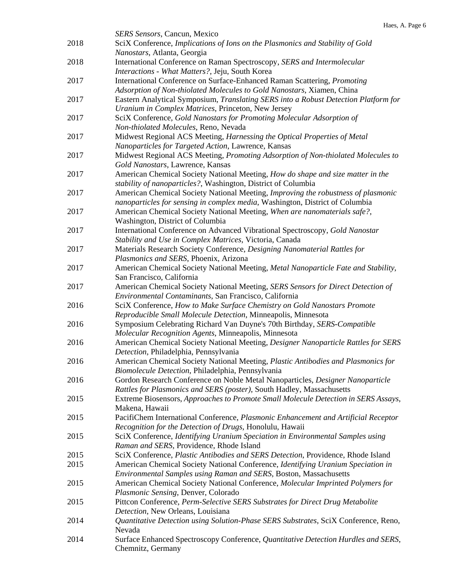|      | <b>SERS Sensors, Cancun, Mexico</b>                                                                                                                                                                |
|------|----------------------------------------------------------------------------------------------------------------------------------------------------------------------------------------------------|
| 2018 | SciX Conference, Implications of Ions on the Plasmonics and Stability of Gold<br>Nanostars, Atlanta, Georgia                                                                                       |
| 2018 | International Conference on Raman Spectroscopy, SERS and Intermolecular<br>Interactions - What Matters?, Jeju, South Korea                                                                         |
| 2017 | International Conference on Surface-Enhanced Raman Scattering, Promoting                                                                                                                           |
| 2017 | Adsorption of Non-thiolated Molecules to Gold Nanostars, Xiamen, China<br>Eastern Analytical Symposium, Translating SERS into a Robust Detection Platform for                                      |
| 2017 | Uranium in Complex Matrices, Princeton, New Jersey<br>SciX Conference, Gold Nanostars for Promoting Molecular Adsorption of                                                                        |
| 2017 | Non-thiolated Molecules, Reno, Nevada<br>Midwest Regional ACS Meeting, Harnessing the Optical Properties of Metal<br>Nanoparticles for Targeted Action, Lawrence, Kansas                           |
| 2017 | Midwest Regional ACS Meeting, Promoting Adsorption of Non-thiolated Molecules to                                                                                                                   |
| 2017 | Gold Nanostars, Lawrence, Kansas<br>American Chemical Society National Meeting, How do shape and size matter in the<br>stability of nanoparticles?, Washington, District of Columbia               |
| 2017 | American Chemical Society National Meeting, Improving the robustness of plasmonic<br>nanoparticles for sensing in complex media, Washington, District of Columbia                                  |
| 2017 | American Chemical Society National Meeting, When are nanomaterials safe?,<br>Washington, District of Columbia                                                                                      |
| 2017 | International Conference on Advanced Vibrational Spectroscopy, Gold Nanostar<br>Stability and Use in Complex Matrices, Victoria, Canada                                                            |
| 2017 | Materials Research Society Conference, Designing Nanomaterial Rattles for<br>Plasmonics and SERS, Phoenix, Arizona                                                                                 |
| 2017 | American Chemical Society National Meeting, Metal Nanoparticle Fate and Stability,<br>San Francisco, California                                                                                    |
| 2017 | American Chemical Society National Meeting, SERS Sensors for Direct Detection of                                                                                                                   |
| 2016 | Environmental Contaminants, San Francisco, California<br>SciX Conference, How to Make Surface Chemistry on Gold Nanostars Promote<br>Reproducible Small Molecule Detection, Minneapolis, Minnesota |
| 2016 | Symposium Celebrating Richard Van Duyne's 70th Birthday, SERS-Compatible<br>Molecular Recognition Agents, Minneapolis, Minnesota                                                                   |
| 2016 | American Chemical Society National Meeting, Designer Nanoparticle Rattles for SERS<br>Detection, Philadelphia, Pennsylvania                                                                        |
| 2016 | American Chemical Society National Meeting, Plastic Antibodies and Plasmonics for<br>Biomolecule Detection, Philadelphia, Pennsylvania                                                             |
| 2016 | Gordon Research Conference on Noble Metal Nanoparticles, Designer Nanoparticle<br>Rattles for Plasmonics and SERS (poster), South Hadley, Massachusetts                                            |
| 2015 | Extreme Biosensors, Approaches to Promote Small Molecule Detection in SERS Assays,<br>Makena, Hawaii                                                                                               |
| 2015 | PacifiChem International Conference, Plasmonic Enhancement and Artificial Receptor<br>Recognition for the Detection of Drugs, Honolulu, Hawaii                                                     |
| 2015 | SciX Conference, Identifying Uranium Speciation in Environmental Samples using<br>Raman and SERS, Providence, Rhode Island                                                                         |
| 2015 | SciX Conference, Plastic Antibodies and SERS Detection, Providence, Rhode Island                                                                                                                   |
| 2015 | American Chemical Society National Conference, Identifying Uranium Speciation in                                                                                                                   |
|      | Environmental Samples using Raman and SERS, Boston, Massachusetts                                                                                                                                  |
| 2015 | American Chemical Society National Conference, Molecular Imprinted Polymers for<br>Plasmonic Sensing, Denver, Colorado                                                                             |
| 2015 | Pittcon Conference, Perm-Selective SERS Substrates for Direct Drug Metabolite<br>Detection, New Orleans, Louisiana                                                                                 |
| 2014 | Quantitative Detection using Solution-Phase SERS Substrates, SciX Conference, Reno,<br>Nevada                                                                                                      |
| 2014 | Surface Enhanced Spectroscopy Conference, Quantitative Detection Hurdles and SERS,<br>Chemnitz, Germany                                                                                            |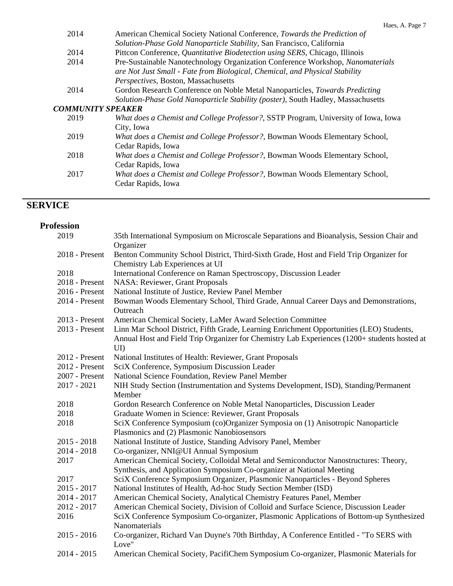| 2014                     | American Chemical Society National Conference, Towards the Prediction of           |
|--------------------------|------------------------------------------------------------------------------------|
|                          | Solution-Phase Gold Nanoparticle Stability, San Francisco, California              |
| 2014                     | Pittcon Conference, Quantitative Biodetection using SERS, Chicago, Illinois        |
| 2014                     | Pre-Sustainable Nanotechnology Organization Conference Workshop, Nanomaterials     |
|                          | are Not Just Small - Fate from Biological, Chemical, and Physical Stability        |
|                          | Perspectives, Boston, Massachusetts                                                |
| 2014                     | Gordon Research Conference on Noble Metal Nanoparticles, Towards Predicting        |
|                          | Solution-Phase Gold Nanoparticle Stability (poster), South Hadley, Massachusetts   |
| <b>COMMUNITY SPEAKER</b> |                                                                                    |
| 2019                     | What does a Chemist and College Professor?, SSTP Program, University of Iowa, Iowa |
|                          | City, Iowa                                                                         |
| 2019                     | What does a Chemist and College Professor?, Bowman Woods Elementary School,        |
|                          | Cedar Rapids, Iowa                                                                 |
| 2018                     | What does a Chemist and College Professor?, Bowman Woods Elementary School,        |
|                          | Cedar Rapids, Iowa                                                                 |
| 2017                     | What does a Chemist and College Professor?, Bowman Woods Elementary School,        |
|                          | Cedar Rapids, Iowa                                                                 |
|                          |                                                                                    |

## **SERVICE**

| <b>Profession</b> |                                                                                                                                 |
|-------------------|---------------------------------------------------------------------------------------------------------------------------------|
| 2019              | 35th International Symposium on Microscale Separations and Bioanalysis, Session Chair and                                       |
|                   | Organizer                                                                                                                       |
| 2018 - Present    | Benton Community School District, Third-Sixth Grade, Host and Field Trip Organizer for                                          |
|                   | Chemistry Lab Experiences at UI                                                                                                 |
| 2018              | International Conference on Raman Spectroscopy, Discussion Leader                                                               |
| 2018 - Present    | <b>NASA: Reviewer, Grant Proposals</b>                                                                                          |
| 2016 - Present    | National Institute of Justice, Review Panel Member                                                                              |
| 2014 - Present    | Bowman Woods Elementary School, Third Grade, Annual Career Days and Demonstrations,                                             |
|                   | Outreach                                                                                                                        |
| 2013 - Present    | American Chemical Society, LaMer Award Selection Committee                                                                      |
| 2013 - Present    | Linn Mar School District, Fifth Grade, Learning Enrichment Opportunities (LEO) Students,                                        |
|                   | Annual Host and Field Trip Organizer for Chemistry Lab Experiences (1200+ students hosted at                                    |
|                   | $\text{UI}$                                                                                                                     |
| 2012 - Present    | National Institutes of Health: Reviewer, Grant Proposals                                                                        |
| 2012 - Present    | SciX Conference, Symposium Discussion Leader                                                                                    |
| 2007 - Present    | National Science Foundation, Review Panel Member                                                                                |
| $2017 - 2021$     | NIH Study Section (Instrumentation and Systems Development, ISD), Standing/Permanent                                            |
|                   | Member                                                                                                                          |
| 2018              | Gordon Research Conference on Noble Metal Nanoparticles, Discussion Leader                                                      |
| 2018<br>2018      | Graduate Women in Science: Reviewer, Grant Proposals                                                                            |
|                   | SciX Conference Symposium (co)Organizer Symposia on (1) Anisotropic Nanoparticle<br>Plasmonics and (2) Plasmonic Nanobiosensors |
| $2015 - 2018$     | National Institute of Justice, Standing Advisory Panel, Member                                                                  |
| $2014 - 2018$     | Co-organizer, NNI@UI Annual Symposium                                                                                           |
| 2017              | American Chemical Society, Colloidal Metal and Semiconductor Nanostructures: Theory,                                            |
|                   | Synthesis, and Application Symposium Co-organizer at National Meeting                                                           |
| 2017              | SciX Conference Symposium Organizer, Plasmonic Nanoparticles - Beyond Spheres                                                   |
| $2015 - 2017$     | National Institutes of Health, Ad-hoc Study Section Member (ISD)                                                                |
| $2014 - 2017$     | American Chemical Society, Analytical Chemistry Features Panel, Member                                                          |
| $2012 - 2017$     | American Chemical Society, Division of Colloid and Surface Science, Discussion Leader                                           |
| 2016              | SciX Conference Symposium Co-organizer, Plasmonic Applications of Bottom-up Synthesized                                         |
|                   | Nanomaterials                                                                                                                   |
| $2015 - 2016$     | Co-organizer, Richard Van Duyne's 70th Birthday, A Conference Entitled - "To SERS with                                          |
|                   | Love"                                                                                                                           |
| $2014 - 2015$     | American Chemical Society, PacifiChem Symposium Co-organizer, Plasmonic Materials for                                           |